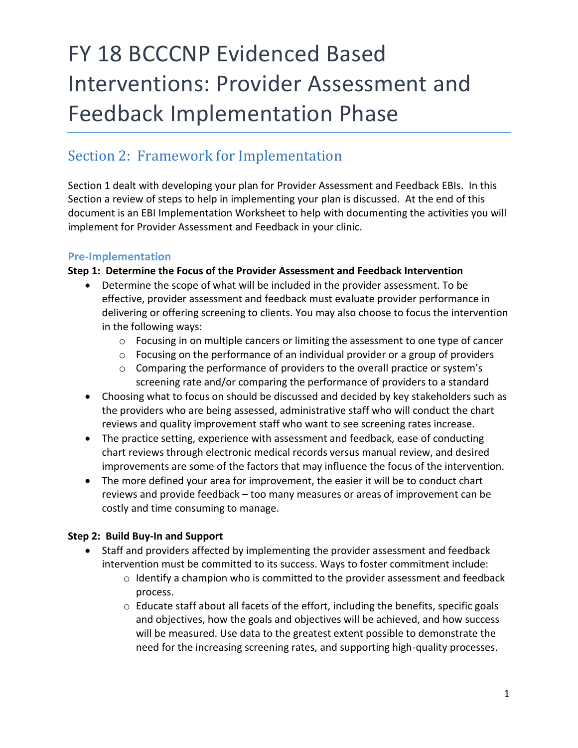# FY 18 BCCCNP Evidenced Based Interventions: Provider Assessment and Feedback Implementation Phase

# Section 2: Framework for Implementation

Section 1 dealt with developing your plan for Provider Assessment and Feedback EBIs. In this Section a review of steps to help in implementing your plan is discussed. At the end of this document is an EBI Implementation Worksheet to help with documenting the activities you will implement for Provider Assessment and Feedback in your clinic.

# **Pre-Implementation**

# **Step 1: Determine the Focus of the Provider Assessment and Feedback Intervention**

- Determine the scope of what will be included in the provider assessment. To be effective, provider assessment and feedback must evaluate provider performance in delivering or offering screening to clients. You may also choose to focus the intervention in the following ways:
	- $\circ$  Focusing in on multiple cancers or limiting the assessment to one type of cancer
	- $\circ$  Focusing on the performance of an individual provider or a group of providers
	- o Comparing the performance of providers to the overall practice or system's screening rate and/or comparing the performance of providers to a standard
- Choosing what to focus on should be discussed and decided by key stakeholders such as the providers who are being assessed, administrative staff who will conduct the chart reviews and quality improvement staff who want to see screening rates increase.
- The practice setting, experience with assessment and feedback, ease of conducting chart reviews through electronic medical records versus manual review, and desired improvements are some of the factors that may influence the focus of the intervention.
- The more defined your area for improvement, the easier it will be to conduct chart reviews and provide feedback – too many measures or areas of improvement can be costly and time consuming to manage.

# **Step 2: Build Buy-In and Support**

- Staff and providers affected by implementing the provider assessment and feedback intervention must be committed to its success. Ways to foster commitment include:
	- $\circ$  Identify a champion who is committed to the provider assessment and feedback process.
	- $\circ$  Educate staff about all facets of the effort, including the benefits, specific goals and objectives, how the goals and objectives will be achieved, and how success will be measured. Use data to the greatest extent possible to demonstrate the need for the increasing screening rates, and supporting high-quality processes.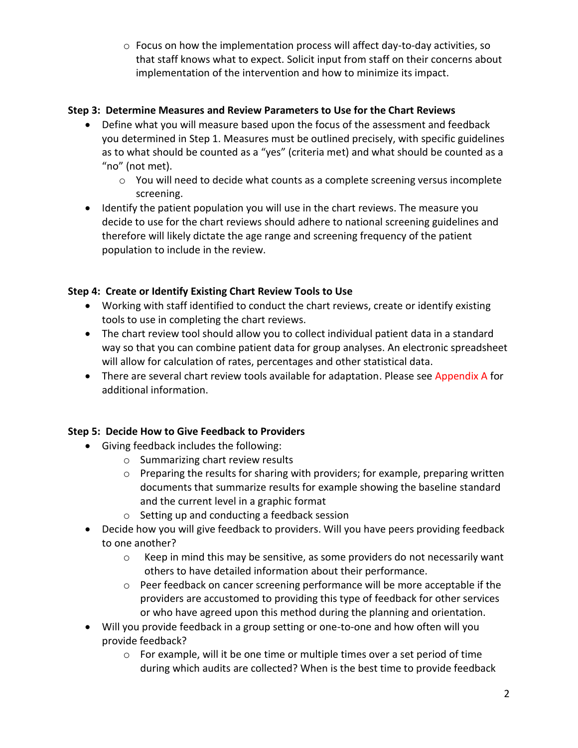$\circ$  Focus on how the implementation process will affect day-to-day activities, so that staff knows what to expect. Solicit input from staff on their concerns about implementation of the intervention and how to minimize its impact.

#### **Step 3: Determine Measures and Review Parameters to Use for the Chart Reviews**

- Define what you will measure based upon the focus of the assessment and feedback you determined in Step 1. Measures must be outlined precisely, with specific guidelines as to what should be counted as a "yes" (criteria met) and what should be counted as a "no" (not met).
	- $\circ$  You will need to decide what counts as a complete screening versus incomplete screening.
- Identify the patient population you will use in the chart reviews. The measure you decide to use for the chart reviews should adhere to national screening guidelines and therefore will likely dictate the age range and screening frequency of the patient population to include in the review.

# **Step 4: Create or Identify Existing Chart Review Tools to Use**

- Working with staff identified to conduct the chart reviews, create or identify existing tools to use in completing the chart reviews.
- The chart review tool should allow you to collect individual patient data in a standard way so that you can combine patient data for group analyses. An electronic spreadsheet will allow for calculation of rates, percentages and other statistical data.
- There are several chart review tools available for adaptation. Please see Appendix A for additional information.

#### **Step 5: Decide How to Give Feedback to Providers**

- Giving feedback includes the following:
	- o Summarizing chart review results
	- $\circ$  Preparing the results for sharing with providers; for example, preparing written documents that summarize results for example showing the baseline standard and the current level in a graphic format
	- o Setting up and conducting a feedback session
- Decide how you will give feedback to providers. Will you have peers providing feedback to one another?
	- $\circ$  Keep in mind this may be sensitive, as some providers do not necessarily want others to have detailed information about their performance.
	- o Peer feedback on cancer screening performance will be more acceptable if the providers are accustomed to providing this type of feedback for other services or who have agreed upon this method during the planning and orientation.
- Will you provide feedback in a group setting or one-to-one and how often will you provide feedback?
	- o For example, will it be one time or multiple times over a set period of time during which audits are collected? When is the best time to provide feedback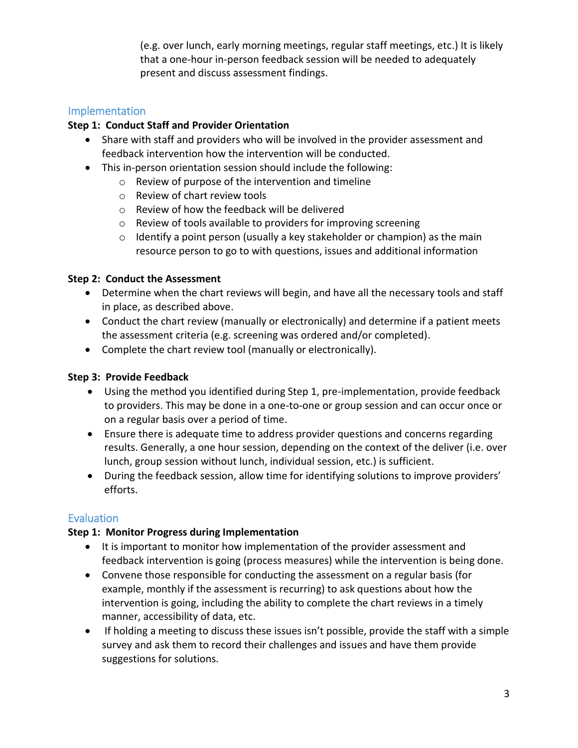(e.g. over lunch, early morning meetings, regular staff meetings, etc.) It is likely that a one-hour in-person feedback session will be needed to adequately present and discuss assessment findings.

# Implementation

#### **Step 1: Conduct Staff and Provider Orientation**

- Share with staff and providers who will be involved in the provider assessment and feedback intervention how the intervention will be conducted.
- This in-person orientation session should include the following:
	- o Review of purpose of the intervention and timeline
	- o Review of chart review tools
	- o Review of how the feedback will be delivered
	- o Review of tools available to providers for improving screening
	- $\circ$  Identify a point person (usually a key stakeholder or champion) as the main resource person to go to with questions, issues and additional information

#### **Step 2: Conduct the Assessment**

- Determine when the chart reviews will begin, and have all the necessary tools and staff in place, as described above.
- Conduct the chart review (manually or electronically) and determine if a patient meets the assessment criteria (e.g. screening was ordered and/or completed).
- Complete the chart review tool (manually or electronically).

#### **Step 3: Provide Feedback**

- Using the method you identified during Step 1, pre-implementation, provide feedback to providers. This may be done in a one-to-one or group session and can occur once or on a regular basis over a period of time.
- Ensure there is adequate time to address provider questions and concerns regarding results. Generally, a one hour session, depending on the context of the deliver (i.e. over lunch, group session without lunch, individual session, etc.) is sufficient.
- During the feedback session, allow time for identifying solutions to improve providers' efforts.

#### Evaluation

#### **Step 1: Monitor Progress during Implementation**

- It is important to monitor how implementation of the provider assessment and feedback intervention is going (process measures) while the intervention is being done.
- Convene those responsible for conducting the assessment on a regular basis (for example, monthly if the assessment is recurring) to ask questions about how the intervention is going, including the ability to complete the chart reviews in a timely manner, accessibility of data, etc.
- If holding a meeting to discuss these issues isn't possible, provide the staff with a simple survey and ask them to record their challenges and issues and have them provide suggestions for solutions.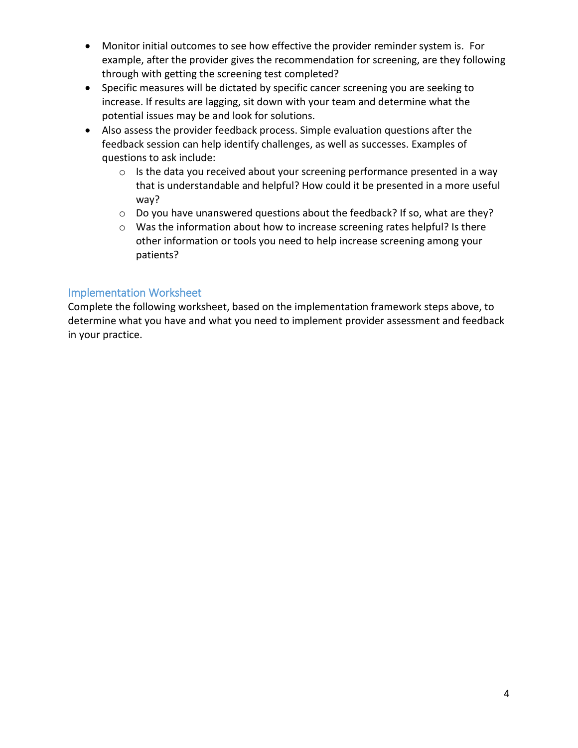- Monitor initial outcomes to see how effective the provider reminder system is. For example, after the provider gives the recommendation for screening, are they following through with getting the screening test completed?
- Specific measures will be dictated by specific cancer screening you are seeking to increase. If results are lagging, sit down with your team and determine what the potential issues may be and look for solutions.
- Also assess the provider feedback process. Simple evaluation questions after the feedback session can help identify challenges, as well as successes. Examples of questions to ask include:
	- $\circ$  Is the data you received about your screening performance presented in a way that is understandable and helpful? How could it be presented in a more useful way?
	- o Do you have unanswered questions about the feedback? If so, what are they?
	- o Was the information about how to increase screening rates helpful? Is there other information or tools you need to help increase screening among your patients?

# Implementation Worksheet

Complete the following worksheet, based on the implementation framework steps above, to determine what you have and what you need to implement provider assessment and feedback in your practice.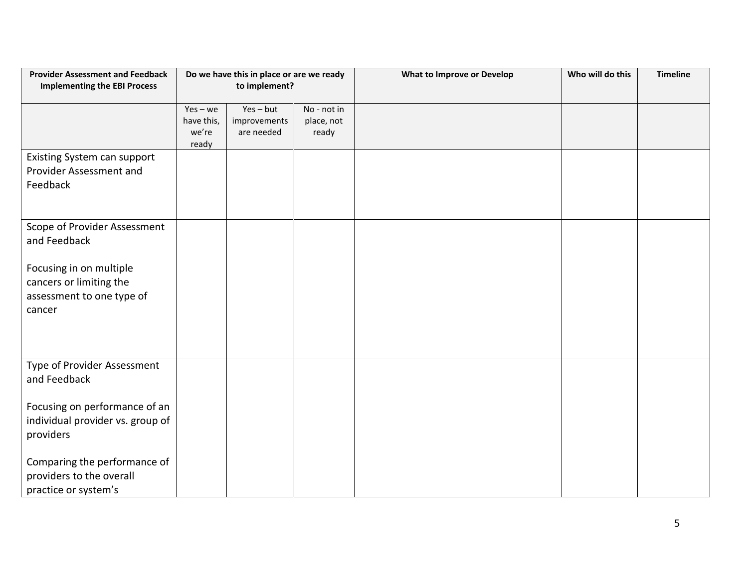| <b>Provider Assessment and Feedback</b><br><b>Implementing the EBI Process</b> | Do we have this in place or are we ready<br>to implement? |              |             | <b>What to Improve or Develop</b> | Who will do this | <b>Timeline</b> |
|--------------------------------------------------------------------------------|-----------------------------------------------------------|--------------|-------------|-----------------------------------|------------------|-----------------|
|                                                                                | $Yes - we$                                                | $Yes - but$  | No - not in |                                   |                  |                 |
|                                                                                | have this,                                                | improvements | place, not  |                                   |                  |                 |
|                                                                                | we're<br>ready                                            | are needed   | ready       |                                   |                  |                 |
| Existing System can support                                                    |                                                           |              |             |                                   |                  |                 |
| Provider Assessment and                                                        |                                                           |              |             |                                   |                  |                 |
| Feedback                                                                       |                                                           |              |             |                                   |                  |                 |
|                                                                                |                                                           |              |             |                                   |                  |                 |
| Scope of Provider Assessment                                                   |                                                           |              |             |                                   |                  |                 |
| and Feedback                                                                   |                                                           |              |             |                                   |                  |                 |
| Focusing in on multiple                                                        |                                                           |              |             |                                   |                  |                 |
| cancers or limiting the                                                        |                                                           |              |             |                                   |                  |                 |
| assessment to one type of                                                      |                                                           |              |             |                                   |                  |                 |
| cancer                                                                         |                                                           |              |             |                                   |                  |                 |
|                                                                                |                                                           |              |             |                                   |                  |                 |
|                                                                                |                                                           |              |             |                                   |                  |                 |
|                                                                                |                                                           |              |             |                                   |                  |                 |
| Type of Provider Assessment                                                    |                                                           |              |             |                                   |                  |                 |
| and Feedback                                                                   |                                                           |              |             |                                   |                  |                 |
| Focusing on performance of an                                                  |                                                           |              |             |                                   |                  |                 |
| individual provider vs. group of                                               |                                                           |              |             |                                   |                  |                 |
| providers                                                                      |                                                           |              |             |                                   |                  |                 |
|                                                                                |                                                           |              |             |                                   |                  |                 |
| Comparing the performance of                                                   |                                                           |              |             |                                   |                  |                 |
| providers to the overall                                                       |                                                           |              |             |                                   |                  |                 |
| practice or system's                                                           |                                                           |              |             |                                   |                  |                 |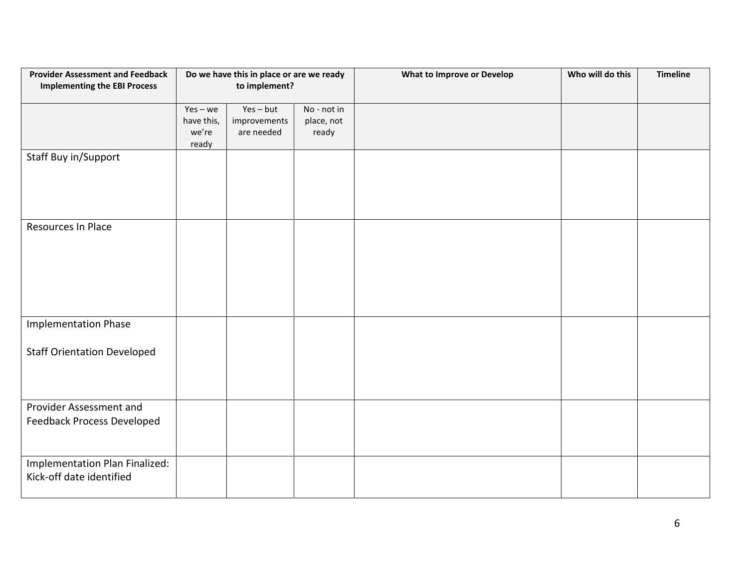| <b>Provider Assessment and Feedback</b><br><b>Implementing the EBI Process</b> | Do we have this in place or are we ready<br>to implement? |              |             | <b>What to Improve or Develop</b> | Who will do this | <b>Timeline</b> |
|--------------------------------------------------------------------------------|-----------------------------------------------------------|--------------|-------------|-----------------------------------|------------------|-----------------|
|                                                                                |                                                           |              |             |                                   |                  |                 |
|                                                                                | $Yes - we$                                                | $Yes - but$  | No - not in |                                   |                  |                 |
|                                                                                | have this,                                                | improvements | place, not  |                                   |                  |                 |
|                                                                                | we're<br>ready                                            | are needed   | ready       |                                   |                  |                 |
| Staff Buy in/Support                                                           |                                                           |              |             |                                   |                  |                 |
|                                                                                |                                                           |              |             |                                   |                  |                 |
|                                                                                |                                                           |              |             |                                   |                  |                 |
|                                                                                |                                                           |              |             |                                   |                  |                 |
|                                                                                |                                                           |              |             |                                   |                  |                 |
| Resources In Place                                                             |                                                           |              |             |                                   |                  |                 |
|                                                                                |                                                           |              |             |                                   |                  |                 |
|                                                                                |                                                           |              |             |                                   |                  |                 |
|                                                                                |                                                           |              |             |                                   |                  |                 |
|                                                                                |                                                           |              |             |                                   |                  |                 |
|                                                                                |                                                           |              |             |                                   |                  |                 |
|                                                                                |                                                           |              |             |                                   |                  |                 |
| <b>Implementation Phase</b>                                                    |                                                           |              |             |                                   |                  |                 |
|                                                                                |                                                           |              |             |                                   |                  |                 |
| <b>Staff Orientation Developed</b>                                             |                                                           |              |             |                                   |                  |                 |
|                                                                                |                                                           |              |             |                                   |                  |                 |
|                                                                                |                                                           |              |             |                                   |                  |                 |
|                                                                                |                                                           |              |             |                                   |                  |                 |
| Provider Assessment and                                                        |                                                           |              |             |                                   |                  |                 |
| <b>Feedback Process Developed</b>                                              |                                                           |              |             |                                   |                  |                 |
|                                                                                |                                                           |              |             |                                   |                  |                 |
| Implementation Plan Finalized:                                                 |                                                           |              |             |                                   |                  |                 |
| Kick-off date identified                                                       |                                                           |              |             |                                   |                  |                 |
|                                                                                |                                                           |              |             |                                   |                  |                 |
|                                                                                |                                                           |              |             |                                   |                  |                 |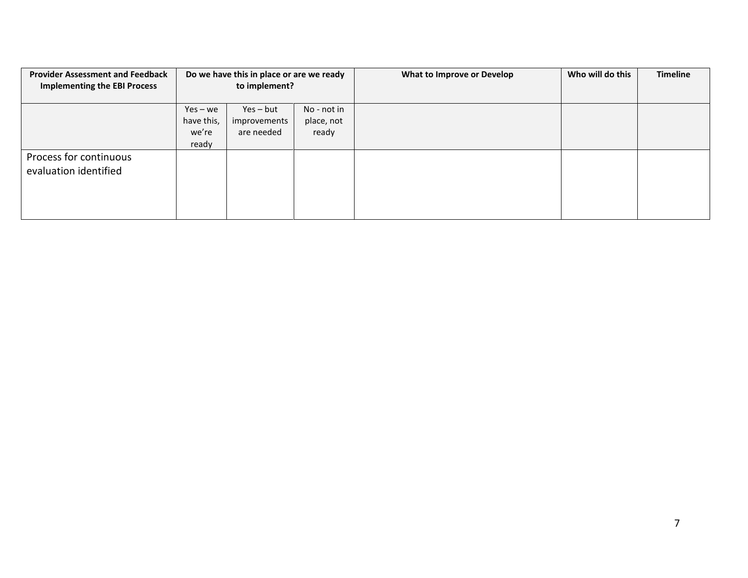| <b>Provider Assessment and Feedback</b><br><b>Implementing the EBI Process</b> | Do we have this in place or are we ready<br>to implement? |                                           |                                    | What to Improve or Develop | Who will do this | <b>Timeline</b> |
|--------------------------------------------------------------------------------|-----------------------------------------------------------|-------------------------------------------|------------------------------------|----------------------------|------------------|-----------------|
|                                                                                |                                                           |                                           |                                    |                            |                  |                 |
|                                                                                | $Yes - we$<br>have this,<br>we're<br>ready                | $Yes - but$<br>improvements<br>are needed | No - not in<br>place, not<br>ready |                            |                  |                 |
| Process for continuous<br>evaluation identified                                |                                                           |                                           |                                    |                            |                  |                 |